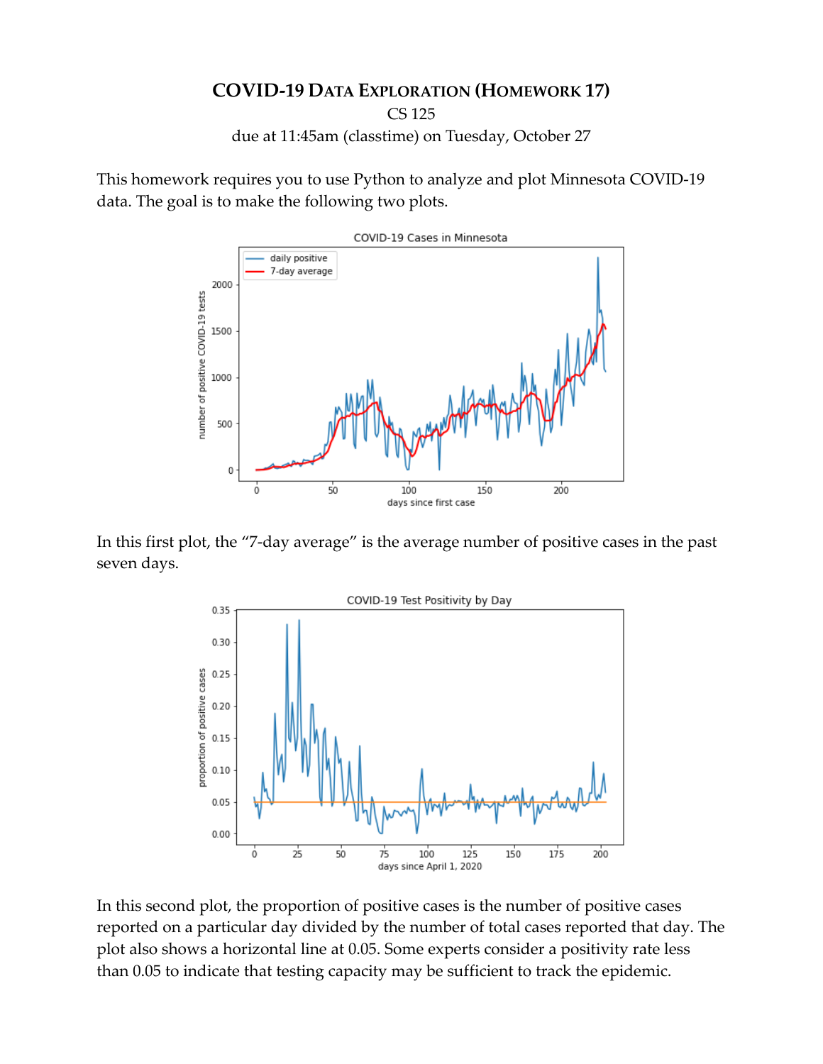## **COVID-19 DATA EXPLORATION (HOMEWORK 17)**

CS 125

due at 11:45am (classtime) on Tuesday, October 27

This homework requires you to use Python to analyze and plot Minnesota COVID-19 data. The goal is to make the following two plots.



In this first plot, the "7-day average" is the average number of positive cases in the past seven days.



In this second plot, the proportion of positive cases is the number of positive cases reported on a particular day divided by the number of total cases reported that day. The plot also shows a horizontal line at 0.05. Some experts consider a positivity rate less than 0.05 to indicate that testing capacity may be sufficient to track the epidemic.